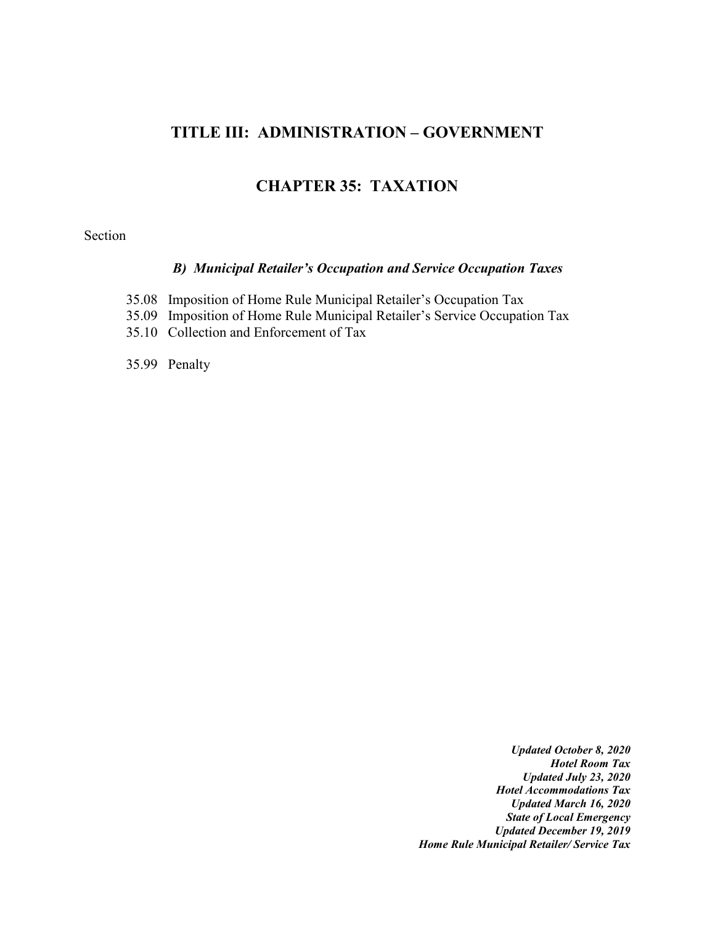# **TITLE III: ADMINISTRATION – GOVERNMENT**

### **CHAPTER 35: TAXATION**

#### Section

### *B) Municipal Retailer's Occupation and Service Occupation Taxes*

- 35.08 Imposition of Home Rule Municipal Retailer's Occupation Tax
- 35.09 Imposition of Home Rule Municipal Retailer's Service Occupation Tax
- 35.10 Collection and Enforcement of Tax

35.99 Penalty

*Updated October 8, 2020 Hotel Room Tax Updated July 23, 2020 Hotel Accommodations Tax Updated March 16, 2020 State of Local Emergency Updated December 19, 2019 Home Rule Municipal Retailer/ Service Tax*